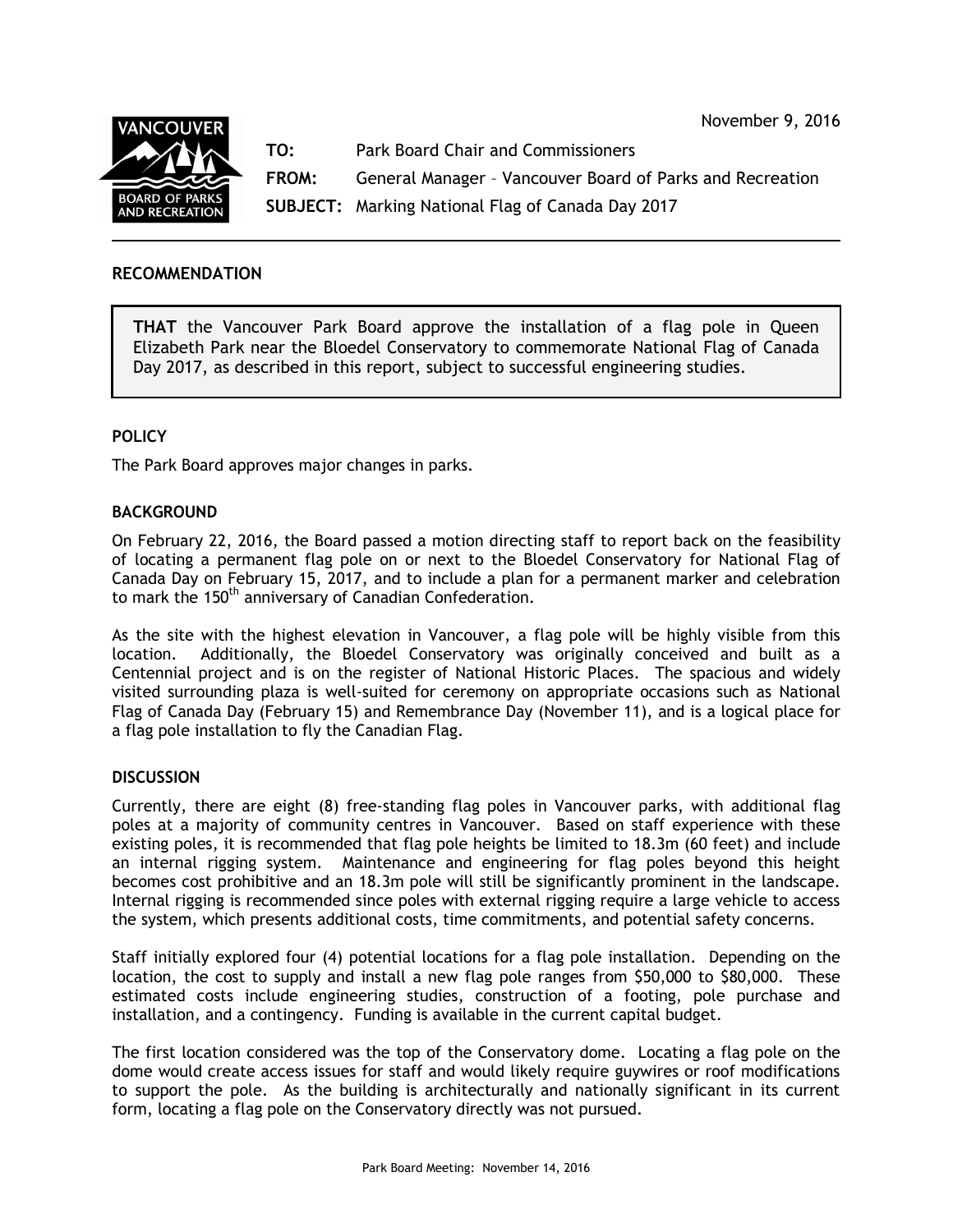November 9, 2016



**TO:** Park Board Chair and Commissioners

**FROM:** General Manager – Vancouver Board of Parks and Recreation

**SUBJECT:** Marking National Flag of Canada Day 2017

# **RECOMMENDATION**

**THAT** the Vancouver Park Board approve the installation of a flag pole in Queen Elizabeth Park near the Bloedel Conservatory to commemorate National Flag of Canada Day 2017, as described in this report, subject to successful engineering studies.

## **POLICY**

The Park Board approves major changes in parks.

### **BACKGROUND**

On February 22, 2016, the Board passed a motion directing staff to report back on the feasibility of locating a permanent flag pole on or next to the Bloedel Conservatory for National Flag of Canada Day on February 15, 2017, and to include a plan for a permanent marker and celebration to mark the 150<sup>th</sup> anniversary of Canadian Confederation.

As the site with the highest elevation in Vancouver, a flag pole will be highly visible from this location. Additionally, the Bloedel Conservatory was originally conceived and built as a Centennial project and is on the register of National Historic Places. The spacious and widely visited surrounding plaza is well-suited for ceremony on appropriate occasions such as National Flag of Canada Day (February 15) and Remembrance Day (November 11), and is a logical place for a flag pole installation to fly the Canadian Flag.

### **DISCUSSION**

Currently, there are eight (8) free-standing flag poles in Vancouver parks, with additional flag poles at a majority of community centres in Vancouver. Based on staff experience with these existing poles, it is recommended that flag pole heights be limited to 18.3m (60 feet) and include an internal rigging system. Maintenance and engineering for flag poles beyond this height becomes cost prohibitive and an 18.3m pole will still be significantly prominent in the landscape. Internal rigging is recommended since poles with external rigging require a large vehicle to access the system, which presents additional costs, time commitments, and potential safety concerns.

Staff initially explored four (4) potential locations for a flag pole installation. Depending on the location, the cost to supply and install a new flag pole ranges from \$50,000 to \$80,000. These estimated costs include engineering studies, construction of a footing, pole purchase and installation, and a contingency. Funding is available in the current capital budget.

The first location considered was the top of the Conservatory dome. Locating a flag pole on the dome would create access issues for staff and would likely require guywires or roof modifications to support the pole. As the building is architecturally and nationally significant in its current form, locating a flag pole on the Conservatory directly was not pursued.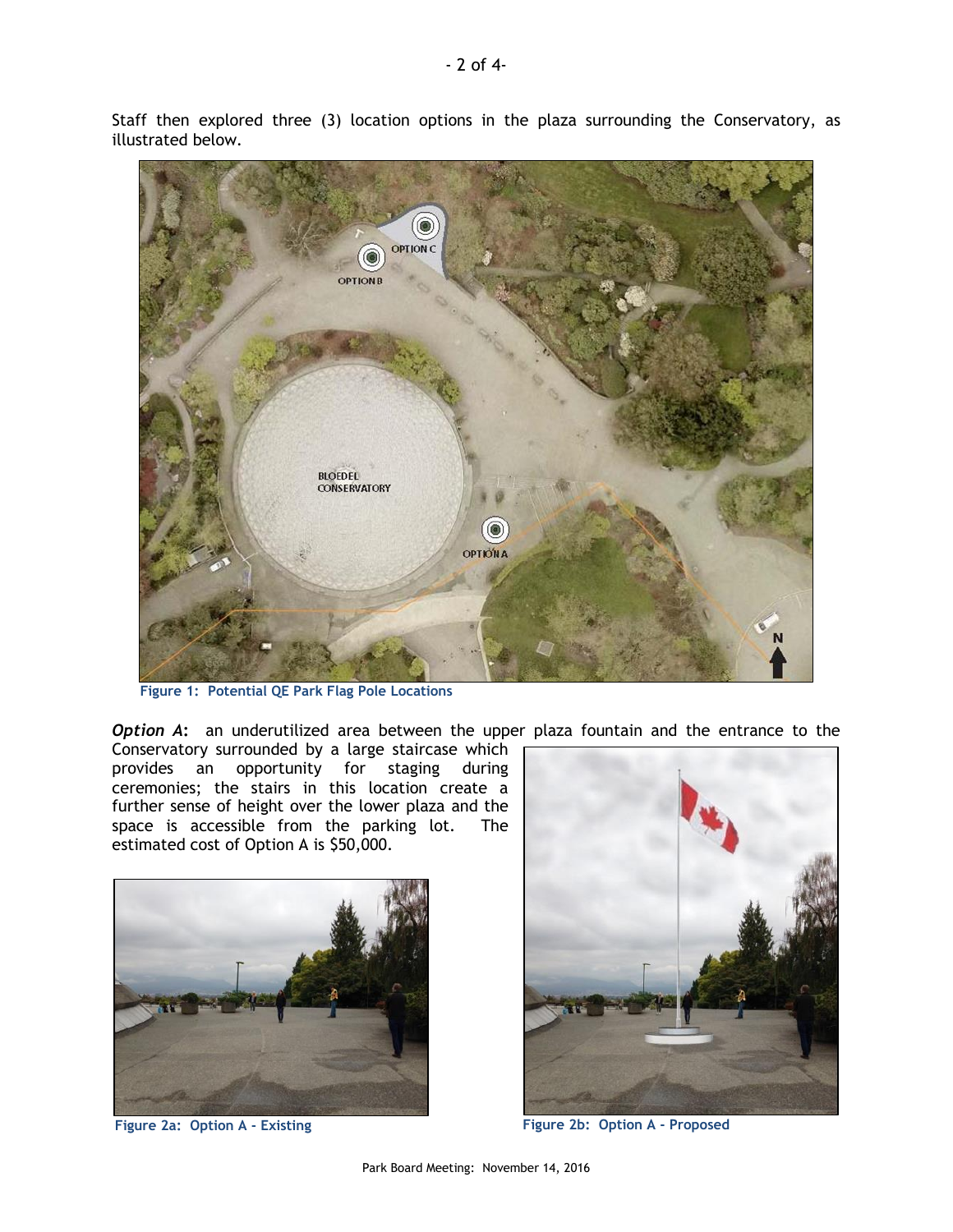

Staff then explored three (3) location options in the plaza surrounding the Conservatory, as illustrated below.

**Figure 1: Potential QE Park Flag Pole Locations**

*Option A*: an underutilized area between the upper plaza fountain and the entrance to the

Conservatory surrounded by a large staircase which provides an opportunity for staging during ceremonies; the stairs in this location create a further sense of height over the lower plaza and the space is accessible from the parking lot. The estimated cost of Option A is \$50,000.





**Figure 2a: Option A - Existing Figure 2b: Option A - Proposed**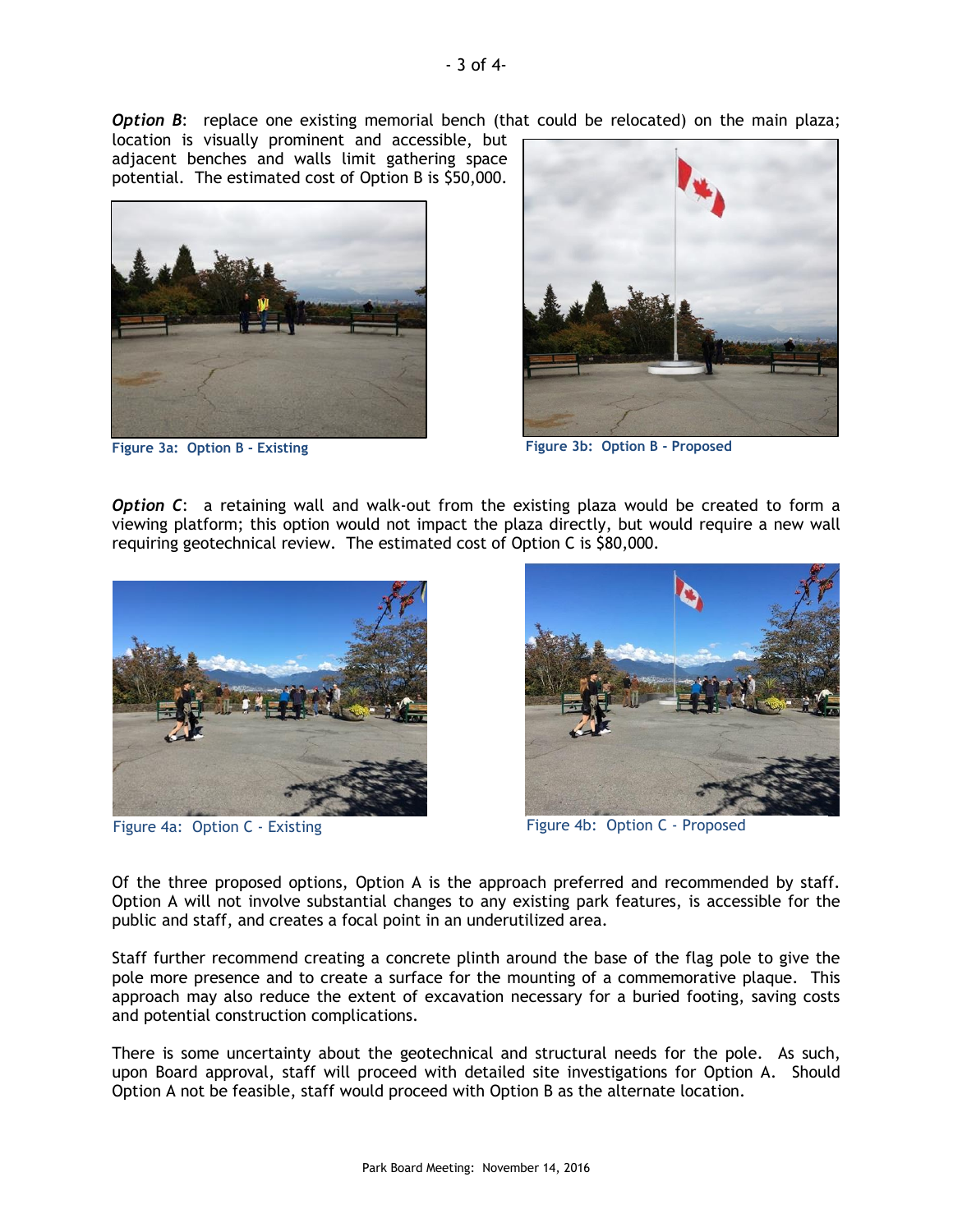**Option B:** replace one existing memorial bench (that could be relocated) on the main plaza;

location is visually prominent and accessible, but adjacent benches and walls limit gathering space potential. The estimated cost of Option B is \$50,000.



**Figure 3a: Option B - Existing**



**Figure 3b: Option B - Proposed**

**Option C:** a retaining wall and walk-out from the existing plaza would be created to form a viewing platform; this option would not impact the plaza directly, but would require a new wall requiring geotechnical review. The estimated cost of Option C is \$80,000.



Figure 4a: Option C - Existing



Figure 4b: Option C - Proposed

Of the three proposed options, Option A is the approach preferred and recommended by staff. Option A will not involve substantial changes to any existing park features, is accessible for the public and staff, and creates a focal point in an underutilized area.

Staff further recommend creating a concrete plinth around the base of the flag pole to give the pole more presence and to create a surface for the mounting of a commemorative plaque. This approach may also reduce the extent of excavation necessary for a buried footing, saving costs and potential construction complications.

There is some uncertainty about the geotechnical and structural needs for the pole. As such, upon Board approval, staff will proceed with detailed site investigations for Option A. Should Option A not be feasible, staff would proceed with Option B as the alternate location.